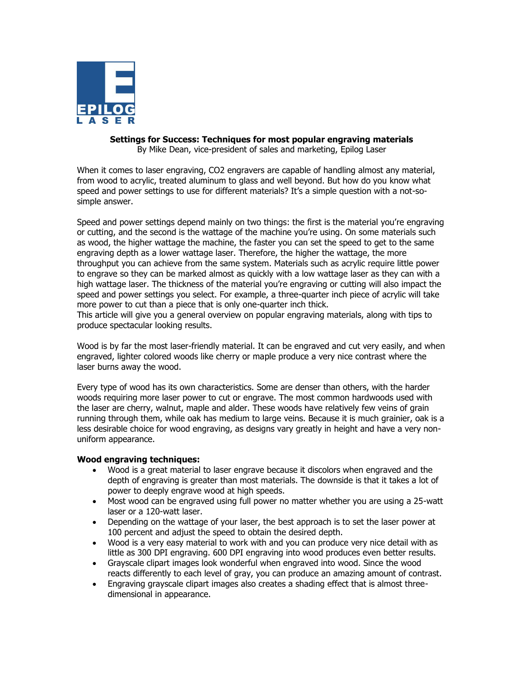

# **Settings for Success: Techniques for most popular engraving materials**

By Mike Dean, vice-president of sales and marketing, Epilog Laser

When it comes to laser engraving, CO2 engravers are capable of handling almost any material, from wood to acrylic, treated aluminum to glass and well beyond. But how do you know what speed and power settings to use for different materials? It's a simple question with a not-sosimple answer.

Speed and power settings depend mainly on two things: the first is the material you"re engraving or cutting, and the second is the wattage of the machine you"re using. On some materials such as wood, the higher wattage the machine, the faster you can set the speed to get to the same engraving depth as a lower wattage laser. Therefore, the higher the wattage, the more throughput you can achieve from the same system. Materials such as acrylic require little power to engrave so they can be marked almost as quickly with a low wattage laser as they can with a high wattage laser. The thickness of the material you"re engraving or cutting will also impact the speed and power settings you select. For example, a three-quarter inch piece of acrylic will take more power to cut than a piece that is only one-quarter inch thick.

This article will give you a general overview on popular engraving materials, along with tips to produce spectacular looking results.

Wood is by far the most laser-friendly material. It can be engraved and cut very easily, and when engraved, lighter colored woods like cherry or maple produce a very nice contrast where the laser burns away the wood.

Every type of wood has its own characteristics. Some are denser than others, with the harder woods requiring more laser power to cut or engrave. The most common hardwoods used with the laser are cherry, walnut, maple and alder. These woods have relatively few veins of grain running through them, while oak has medium to large veins. Because it is much grainier, oak is a less desirable choice for wood engraving, as designs vary greatly in height and have a very nonuniform appearance.

### **Wood engraving techniques:**

- Wood is a great material to laser engrave because it discolors when engraved and the depth of engraving is greater than most materials. The downside is that it takes a lot of power to deeply engrave wood at high speeds.
- Most wood can be engraved using full power no matter whether you are using a 25-watt laser or a 120-watt laser.
- Depending on the wattage of your laser, the best approach is to set the laser power at 100 percent and adjust the speed to obtain the desired depth.
- Wood is a very easy material to work with and you can produce very nice detail with as little as 300 DPI engraving. 600 DPI engraving into wood produces even better results.
- Grayscale clipart images look wonderful when engraved into wood. Since the wood reacts differently to each level of gray, you can produce an amazing amount of contrast.
- Engraving grayscale clipart images also creates a shading effect that is almost threedimensional in appearance.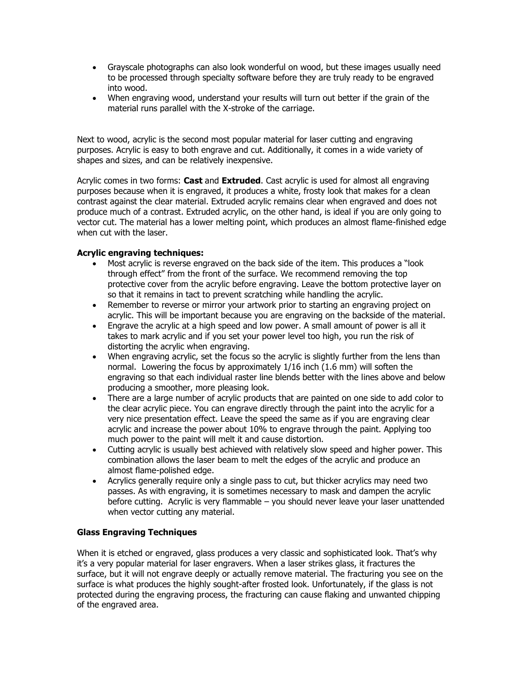- Grayscale photographs can also look wonderful on wood, but these images usually need to be processed through specialty software before they are truly ready to be engraved into wood.
- When engraving wood, understand your results will turn out better if the grain of the material runs parallel with the X-stroke of the carriage.

Next to wood, acrylic is the second most popular material for laser cutting and engraving purposes. Acrylic is easy to both engrave and cut. Additionally, it comes in a wide variety of shapes and sizes, and can be relatively inexpensive.

Acrylic comes in two forms: **Cast** and **Extruded**. Cast acrylic is used for almost all engraving purposes because when it is engraved, it produces a white, frosty look that makes for a clean contrast against the clear material. Extruded acrylic remains clear when engraved and does not produce much of a contrast. Extruded acrylic, on the other hand, is ideal if you are only going to vector cut. The material has a lower melting point, which produces an almost flame-finished edge when cut with the laser.

## **Acrylic engraving techniques:**

- Most acrylic is reverse engraved on the back side of the item. This produces a "look through effect" from the front of the surface. We recommend removing the top protective cover from the acrylic before engraving. Leave the bottom protective layer on so that it remains in tact to prevent scratching while handling the acrylic.
- Remember to reverse or mirror your artwork prior to starting an engraving project on acrylic. This will be important because you are engraving on the backside of the material.
- Engrave the acrylic at a high speed and low power. A small amount of power is all it takes to mark acrylic and if you set your power level too high, you run the risk of distorting the acrylic when engraving.
- When engraving acrylic, set the focus so the acrylic is slightly further from the lens than normal. Lowering the focus by approximately 1/16 inch (1.6 mm) will soften the engraving so that each individual raster line blends better with the lines above and below producing a smoother, more pleasing look.
- There are a large number of acrylic products that are painted on one side to add color to the clear acrylic piece. You can engrave directly through the paint into the acrylic for a very nice presentation effect. Leave the speed the same as if you are engraving clear acrylic and increase the power about 10% to engrave through the paint. Applying too much power to the paint will melt it and cause distortion.
- Cutting acrylic is usually best achieved with relatively slow speed and higher power. This combination allows the laser beam to melt the edges of the acrylic and produce an almost flame-polished edge.
- Acrylics generally require only a single pass to cut, but thicker acrylics may need two passes. As with engraving, it is sometimes necessary to mask and dampen the acrylic before cutting. Acrylic is very flammable – you should never leave your laser unattended when vector cutting any material.

## **Glass Engraving Techniques**

When it is etched or engraved, glass produces a very classic and sophisticated look. That"s why it"s a very popular material for laser engravers. When a laser strikes glass, it fractures the surface, but it will not engrave deeply or actually remove material. The fracturing you see on the surface is what produces the highly sought-after frosted look. Unfortunately, if the glass is not protected during the engraving process, the fracturing can cause flaking and unwanted chipping of the engraved area.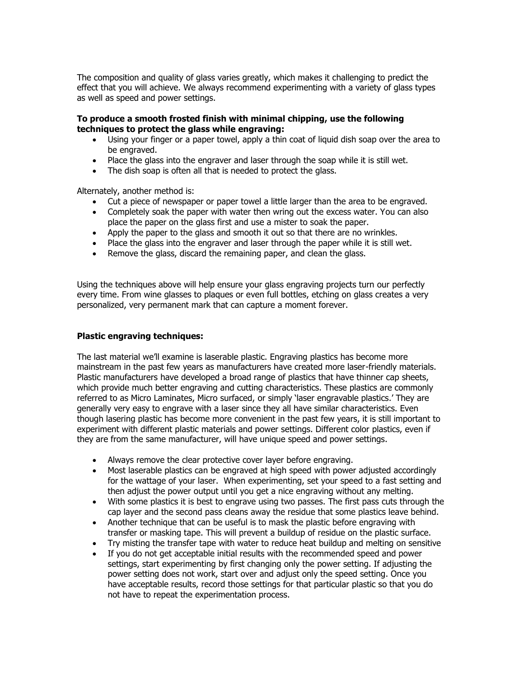The composition and quality of glass varies greatly, which makes it challenging to predict the effect that you will achieve. We always recommend experimenting with a variety of glass types as well as speed and power settings.

#### **To produce a smooth frosted finish with minimal chipping, use the following techniques to protect the glass while engraving:**

- Using your finger or a paper towel, apply a thin coat of liquid dish soap over the area to be engraved.
- Place the glass into the engraver and laser through the soap while it is still wet.
- The dish soap is often all that is needed to protect the glass.

Alternately, another method is:

- Cut a piece of newspaper or paper towel a little larger than the area to be engraved.
- Completely soak the paper with water then wring out the excess water. You can also place the paper on the glass first and use a mister to soak the paper.
- place the paper on the glass first and use a mister to soak the paper.<br>• Apply the paper to the glass and smooth it out so that there are no wrinkles.
- Place the glass into the engraver and laser through the paper while it is still wet.
- Remove the glass, discard the remaining paper, and clean the glass.

Using the techniques above will help ensure your glass engraving projects turn our perfectly every time. From wine glasses to plaques or even full bottles, etching on glass creates a very personalized, very permanent mark that can capture a moment forever.

#### **Plastic engraving techniques:**

The last material we"ll examine is laserable plastic. Engraving plastics has become more mainstream in the past few years as manufacturers have created more laser-friendly materials. Plastic manufacturers have developed a broad range of plastics that have thinner cap sheets, which provide much better engraving and cutting characteristics. These plastics are commonly referred to as Micro Laminates, Micro surfaced, or simply "laser engravable plastics." They are generally very easy to engrave with a laser since they all have similar characteristics. Even though lasering plastic has become more convenient in the past few years, it is still important to experiment with different plastic materials and power settings. Different color plastics, even if they are from the same manufacturer, will have unique speed and power settings.

- Always remove the clear protective cover layer before engraving.
- Most laserable plastics can be engraved at high speed with power adjusted accordingly for the wattage of your laser. When experimenting, set your speed to a fast setting and then adjust the power output until you get a nice engraving without any melting.
- With some plastics it is best to engrave using two passes. The first pass cuts through the cap layer and the second pass cleans away the residue that some plastics leave behind.
- Another technique that can be useful is to mask the plastic before engraving with transfer or masking tape. This will prevent a buildup of residue on the plastic surface.
- Try misting the transfer tape with water to reduce heat buildup and melting on sensitive
- If you do not get acceptable initial results with the recommended speed and power settings, start experimenting by first changing only the power setting. If adjusting the power setting does not work, start over and adjust only the speed setting. Once you have acceptable results, record those settings for that particular plastic so that you do not have to repeat the experimentation process.